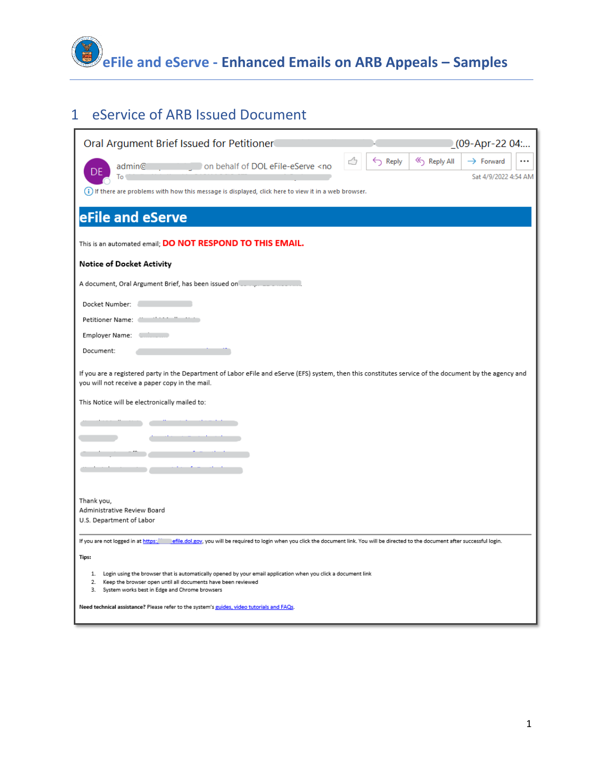

## eService of ARB Issued Document

| Oral Argument Brief Issued for Petitioner                                                                                                                                                                 |                    | $(09-Apr-2204$                     |          |
|-----------------------------------------------------------------------------------------------------------------------------------------------------------------------------------------------------------|--------------------|------------------------------------|----------|
| on behalf of DOL eFile-eServe <no<br>admin@</no<br>                                                                                                                                                       | $\leftarrow$ Reply | Reply All<br>$\rightarrow$ Forward | $\cdots$ |
| To                                                                                                                                                                                                        |                    | Sat 4/9/2022 4:54 AM               |          |
| (i) If there are problems with how this message is displayed, click here to view it in a web browser.                                                                                                     |                    |                                    |          |
|                                                                                                                                                                                                           |                    |                                    |          |
| eFile and eServe                                                                                                                                                                                          |                    |                                    |          |
| This is an automated email; DO NOT RESPOND TO THIS EMAIL.                                                                                                                                                 |                    |                                    |          |
| Notice of Docket Activity                                                                                                                                                                                 |                    |                                    |          |
| A document, Oral Argument Brief, has been issued on Lange and account                                                                                                                                     |                    |                                    |          |
| Docket Number:                                                                                                                                                                                            |                    |                                    |          |
| Petitioner Name:                                                                                                                                                                                          |                    |                                    |          |
| Employer Name:                                                                                                                                                                                            |                    |                                    |          |
| Document:                                                                                                                                                                                                 |                    |                                    |          |
| If you are a registered party in the Department of Labor eFile and eServe (EFS) system, then this constitutes service of the document by the agency and<br>you will not receive a paper copy in the mail. |                    |                                    |          |
| This Notice will be electronically mailed to:                                                                                                                                                             |                    |                                    |          |
|                                                                                                                                                                                                           |                    |                                    |          |
|                                                                                                                                                                                                           |                    |                                    |          |
|                                                                                                                                                                                                           |                    |                                    |          |
|                                                                                                                                                                                                           |                    |                                    |          |
|                                                                                                                                                                                                           |                    |                                    |          |
| Thank you,<br>Administrative Review Board                                                                                                                                                                 |                    |                                    |          |
| U.S. Department of Labor                                                                                                                                                                                  |                    |                                    |          |
| If you are not logged in at https:/ efile.dol.gov, you will be required to login when you click the document link. You will be directed to the document after successful login.                           |                    |                                    |          |
| Tips:                                                                                                                                                                                                     |                    |                                    |          |
| 1. Login using the browser that is automatically opened by your email application when you click a document link                                                                                          |                    |                                    |          |
| 2.<br>Keep the browser open until all documents have been reviewed<br>3.<br>System works best in Edge and Chrome browsers                                                                                 |                    |                                    |          |
| Need technical assistance? Please refer to the system's guides, video tutorials and FAQs.                                                                                                                 |                    |                                    |          |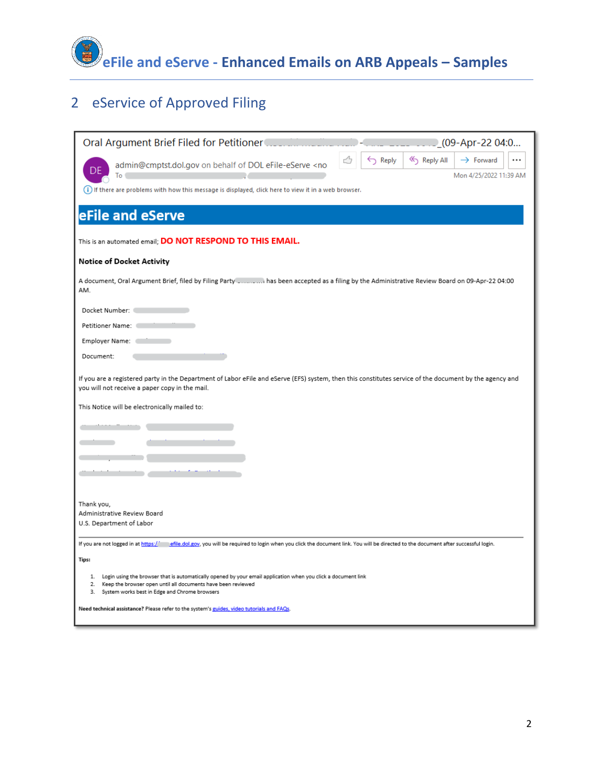

# eService of Approved Filing

| Oral Argument Brief Filed for Petitioner<br>(09-Apr-22 04:0                                                                                                                                                                                   |
|-----------------------------------------------------------------------------------------------------------------------------------------------------------------------------------------------------------------------------------------------|
| Reply All<br>$\rightarrow$ Forward<br>$\leftarrow$ Reply<br>admin@cmptst.dol.gov on behalf of DOL eFile-eServe <no<br>Mon 4/25/2022 11:39 AM<br/>To</no<br>                                                                                   |
| (i) If there are problems with how this message is displayed, click here to view it in a web browser.                                                                                                                                         |
| eFile and eServe                                                                                                                                                                                                                              |
| This is an automated email; DO NOT RESPOND TO THIS EMAIL.                                                                                                                                                                                     |
| Notice of Docket Activity                                                                                                                                                                                                                     |
| A document, Oral Argument Brief, filed by Filing Party _  has been accepted as a filing by the Administrative Review Board on 09-Apr-22 04:00<br>AM.                                                                                          |
| Docket Number: (                                                                                                                                                                                                                              |
| Petitioner Name:                                                                                                                                                                                                                              |
| Employer Name:                                                                                                                                                                                                                                |
| Document:                                                                                                                                                                                                                                     |
| If you are a registered party in the Department of Labor eFile and eServe (EFS) system, then this constitutes service of the document by the agency and<br>you will not receive a paper copy in the mail.                                     |
| This Notice will be electronically mailed to:                                                                                                                                                                                                 |
|                                                                                                                                                                                                                                               |
|                                                                                                                                                                                                                                               |
|                                                                                                                                                                                                                                               |
|                                                                                                                                                                                                                                               |
|                                                                                                                                                                                                                                               |
| Thank you,<br>Administrative Review Board                                                                                                                                                                                                     |
| U.S. Department of Labor                                                                                                                                                                                                                      |
| If you are not logged in at https://<br>efile.dol.gov, you will be required to login when you click the document link. You will be directed to the document after successful login.                                                           |
| Tips:                                                                                                                                                                                                                                         |
| 1. Login using the browser that is automatically opened by your email application when you click a document link<br>Keep the browser open until all documents have been reviewed<br>2.<br>3.<br>System works best in Edge and Chrome browsers |
| Need technical assistance? Please refer to the system's guides, video tutorials and FAQs.                                                                                                                                                     |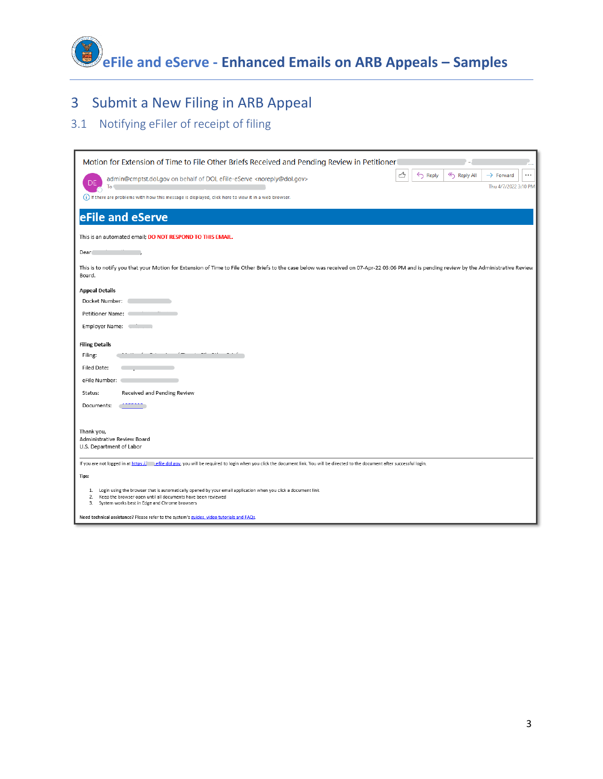**eFile and eServe - Enhanced Emails on ARB Appeals – Samples**

## 3 Submit a New Filing in ARB Appeal

### 3.1 Notifying eFiler of receipt of filing

| Motion for Extension of Time to File Other Briefs Received and Pending Review in Petitioner                                                                                                         |   |                    |             |                       |          |
|-----------------------------------------------------------------------------------------------------------------------------------------------------------------------------------------------------|---|--------------------|-------------|-----------------------|----------|
| admin@cmptst.dol.gov on behalf of DOL eFile-eServe <noreply@dol.gov><br/>DE</noreply@dol.gov>                                                                                                       | ᠿ | $\leftarrow$ Reply | K Reply All | $\rightarrow$ Forward | $\cdots$ |
| To                                                                                                                                                                                                  |   |                    |             | Thu 4/7/2022 3:10 PM  |          |
| (i) If there are problems with how this message is displayed, click here to view it in a web browser.                                                                                               |   |                    |             |                       |          |
| eFile and eServe                                                                                                                                                                                    |   |                    |             |                       |          |
| This is an automated email; DO NOT RESPOND TO THIS EMAIL.                                                                                                                                           |   |                    |             |                       |          |
| Dear                                                                                                                                                                                                |   |                    |             |                       |          |
| This is to notify you that your Motion for Extension of Time to File Other Briefs to the case below was received on 07-Apr-22 03:06 PM and is pending review by the Administrative Review<br>Board. |   |                    |             |                       |          |
| <b>Appeal Details</b>                                                                                                                                                                               |   |                    |             |                       |          |
| Docket Number:                                                                                                                                                                                      |   |                    |             |                       |          |
| Petitioner Name:                                                                                                                                                                                    |   |                    |             |                       |          |
| Employer Name: [10]                                                                                                                                                                                 |   |                    |             |                       |          |
| <b>Filing Details</b>                                                                                                                                                                               |   |                    |             |                       |          |
| Filing:                                                                                                                                                                                             |   |                    |             |                       |          |
| Filed Date:                                                                                                                                                                                         |   |                    |             |                       |          |
| eFile Number:                                                                                                                                                                                       |   |                    |             |                       |          |
| Received and Pending Review<br>Status:                                                                                                                                                              |   |                    |             |                       |          |
| Documents:                                                                                                                                                                                          |   |                    |             |                       |          |
|                                                                                                                                                                                                     |   |                    |             |                       |          |
| Thank you,                                                                                                                                                                                          |   |                    |             |                       |          |
| Administrative Review Board<br>U.S. Department of Labor                                                                                                                                             |   |                    |             |                       |          |
| If you are not logged in at https:// effie.dol.gov, you will be required to login when you click the document link. You will be directed to the document after successful login.                    |   |                    |             |                       |          |
| Tips:                                                                                                                                                                                               |   |                    |             |                       |          |
| Login using the browser that is automatically opened by your email application when you click a document link<br>1.                                                                                 |   |                    |             |                       |          |
| Keep the browser open until all documents have been reviewed<br>2.<br>System works best in Edge and Chrome browsers<br>З.                                                                           |   |                    |             |                       |          |
| Need technical assistance? Please refer to the system's guides, video tutorials and FAQs.                                                                                                           |   |                    |             |                       |          |
|                                                                                                                                                                                                     |   |                    |             |                       |          |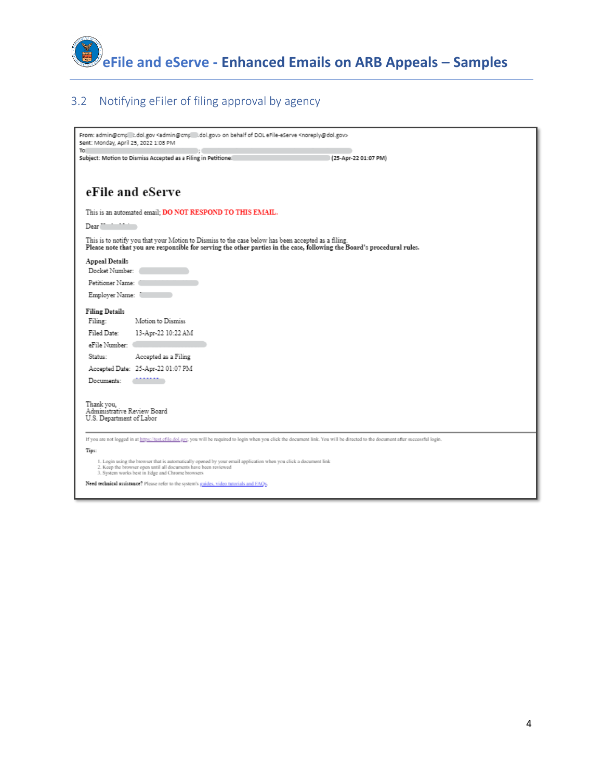

### 3.2 Notifying eFiler of filing approval by agency

| From: admin@cmp   t.dol.gov <admin@cmp l.dol.gov=""  =""> on behalf of DOL eFile-eServe <noreply@dol.gov><br/>Sent: Monday, April 25, 2022 1:08 PM</noreply@dol.gov></admin@cmp>                                                        |
|-----------------------------------------------------------------------------------------------------------------------------------------------------------------------------------------------------------------------------------------|
| To<br>Subject: Motion to Dismiss Accepted as a Filing in Petitionel<br>(25-Apr-22 01:07 PM)                                                                                                                                             |
| eFile and eServe                                                                                                                                                                                                                        |
| This is an automated email; DO NOT RESPOND TO THIS EMAIL.                                                                                                                                                                               |
| Dear ""                                                                                                                                                                                                                                 |
| This is to notify you that your Motion to Dismiss to the case below has been accepted as a filing.<br>Please note that you are responsible for serving the other parties in the case, following the Board's procedural rules.           |
| Appeal Details<br>Docket Number:                                                                                                                                                                                                        |
| Petitioner Name:                                                                                                                                                                                                                        |
| Employer Name:                                                                                                                                                                                                                          |
| <b>Filing Details</b>                                                                                                                                                                                                                   |
| Motion to Dismiss<br>Filing:                                                                                                                                                                                                            |
| Filed Date:<br>13-Apr-22 10:22 AM<br>eFile Number:                                                                                                                                                                                      |
| Accepted as a Filing<br>Status:                                                                                                                                                                                                         |
| Accepted Date: 25-Apr-22 01:07 PM                                                                                                                                                                                                       |
| Documents:                                                                                                                                                                                                                              |
| Thank you,<br>Administrative Review Board<br>U.S. Department of Labor                                                                                                                                                                   |
| If you are not logged in at https://test.efile.dol.gov, you will be required to login when you click the document link. You will be directed to the document after successful login.                                                    |
| Tips:                                                                                                                                                                                                                                   |
| 1. Login using the browser that is automatically opened by your email application when you click a document link<br>2. Keep the browser open until all documents have been reviewed<br>3. System works best in Edge and Chrome browsers |
| Need technical assistance? Please refer to the system's guides, video tutorials and FAQs.                                                                                                                                               |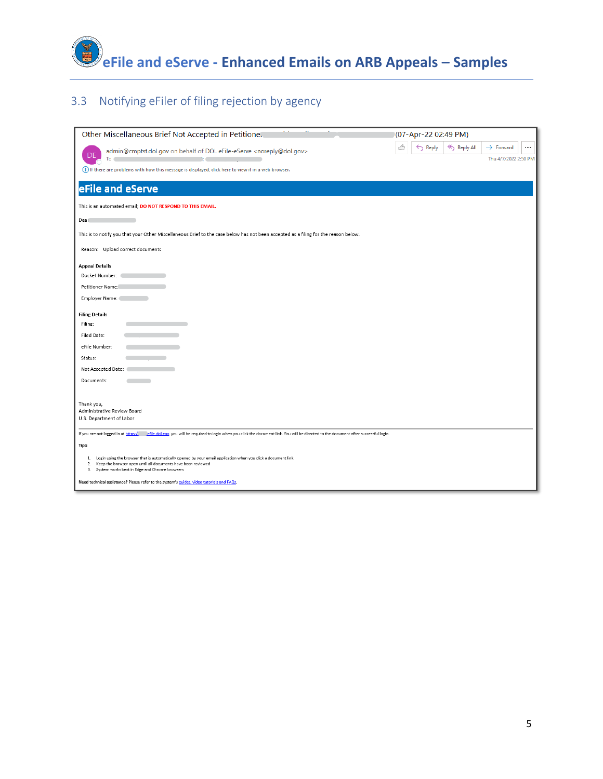

### 3.3 Notifying eFiler of filing rejection by agency

| Other Miscellaneous Brief Not Accepted in Petitione.                                                                                                                                                                                    | (07-Apr-22 02:49 PM)                                                                                        |
|-----------------------------------------------------------------------------------------------------------------------------------------------------------------------------------------------------------------------------------------|-------------------------------------------------------------------------------------------------------------|
| admin@cmptst.dol.gov on behalf of DOL eFile-eServe <noreply@dol.gov><br/>To</noreply@dol.gov>                                                                                                                                           | < <sub>S</sub> Reply All<br>$\leftarrow$ Reply<br>$\rightarrow$ Forward<br>$\cdots$<br>Thu 4/7/2022 2:50 PM |
| (i) If there are problems with how this message is displayed, click here to view it in a web browser.                                                                                                                                   |                                                                                                             |
|                                                                                                                                                                                                                                         |                                                                                                             |
| eFile and eServe                                                                                                                                                                                                                        |                                                                                                             |
| This is an automated email; DO NOT RESPOND TO THIS EMAIL.                                                                                                                                                                               |                                                                                                             |
| Dear                                                                                                                                                                                                                                    |                                                                                                             |
| This is to notify you that your Other Miscellaneous Brief to the case below has not been accepted as a filing for the reason below.                                                                                                     |                                                                                                             |
| Reason: Upload correct documents                                                                                                                                                                                                        |                                                                                                             |
| <b>Appeal Details</b>                                                                                                                                                                                                                   |                                                                                                             |
| Docket Number:                                                                                                                                                                                                                          |                                                                                                             |
| Petitioner Name:                                                                                                                                                                                                                        |                                                                                                             |
| Employer Name:                                                                                                                                                                                                                          |                                                                                                             |
| <b>Filing Details</b>                                                                                                                                                                                                                   |                                                                                                             |
| Filing:                                                                                                                                                                                                                                 |                                                                                                             |
| Filed Date:                                                                                                                                                                                                                             |                                                                                                             |
| eFile Number:                                                                                                                                                                                                                           |                                                                                                             |
| Status:                                                                                                                                                                                                                                 |                                                                                                             |
| Not Accepted Date:                                                                                                                                                                                                                      |                                                                                                             |
| Documents:                                                                                                                                                                                                                              |                                                                                                             |
|                                                                                                                                                                                                                                         |                                                                                                             |
| Thank you,                                                                                                                                                                                                                              |                                                                                                             |
| Administrative Review Board<br>U.S. Department of Labor                                                                                                                                                                                 |                                                                                                             |
|                                                                                                                                                                                                                                         |                                                                                                             |
| efile.dol.gov, you will be required to login when you click the document link. You will be directed to the document after successful login.<br>If you are not logged in at https:/                                                      |                                                                                                             |
| Tips:                                                                                                                                                                                                                                   |                                                                                                             |
| 1. Login using the browser that is automatically opened by your email application when you click a document link<br>2. Keep the browser open until all documents have been reviewed<br>3. System works best in Edge and Chrome browsers |                                                                                                             |
| Need technical assistance? Please refer to the system's guides, video tutorials and FAQs.                                                                                                                                               |                                                                                                             |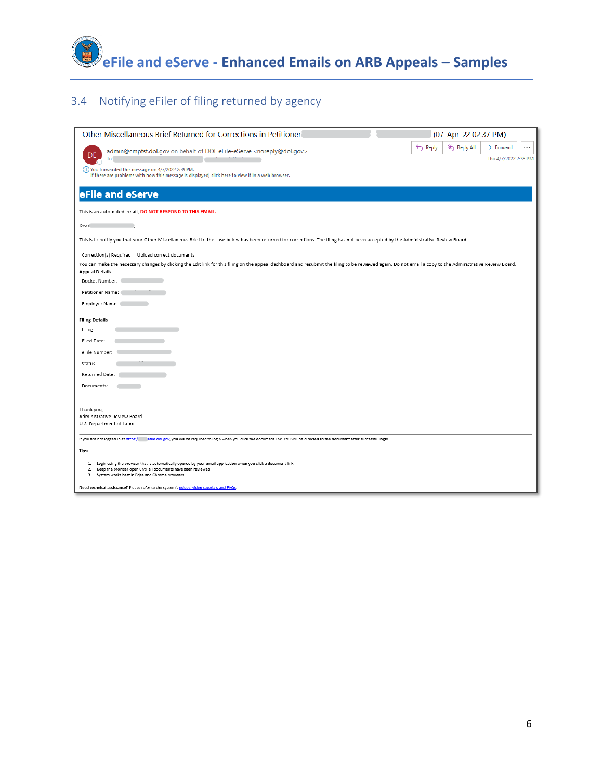

### 3.4 Notifying eFiler of filing returned by agency

| Other Miscellaneous Brief Returned for Corrections in Petitioner                                                                                                                                                                           | (07-Apr-22 02:37 PM)                                                                         |
|--------------------------------------------------------------------------------------------------------------------------------------------------------------------------------------------------------------------------------------------|----------------------------------------------------------------------------------------------|
| admin@cmptst.dol.gov on behalf of DOL eFile-eServe <noreply@dol.gov><br/>To</noreply@dol.gov>                                                                                                                                              | Reply All<br>$\cdots$<br>$\leftarrow$ Reply<br>$\rightarrow$ Forward<br>Thu 4/7/2022 2:38 PM |
| (i) You forwarded this message on 4/7/2022 2:39 PM.<br>If there are problems with how this message is displayed, click here to view it in a web browser.                                                                                   |                                                                                              |
| eFile and eServe                                                                                                                                                                                                                           |                                                                                              |
| This is an automated email; DO NOT RESPOND TO THIS EMAIL.                                                                                                                                                                                  |                                                                                              |
| Dear                                                                                                                                                                                                                                       |                                                                                              |
| This is to notify you that your Other Miscellaneous Brief to the case below has been returned for corrections. The filing has not been accepted by the Administrative Review Board.                                                        |                                                                                              |
| Correction(s) Required: Upload correct documents                                                                                                                                                                                           |                                                                                              |
| You can make the necessary changes by clicking the Edit link for this filing on the appeal dashboard and resubmit the filing to be reviewed again. Do not email a copy to the Administrative Review Board.<br><b>Appeal Details</b>        |                                                                                              |
| Docket Number:                                                                                                                                                                                                                             |                                                                                              |
| Petitioner Name:                                                                                                                                                                                                                           |                                                                                              |
| Employer Name:                                                                                                                                                                                                                             |                                                                                              |
| <b>Filing Details</b>                                                                                                                                                                                                                      |                                                                                              |
| Filing:<br>Filed Date:                                                                                                                                                                                                                     |                                                                                              |
| eFile Number:                                                                                                                                                                                                                              |                                                                                              |
| Status:                                                                                                                                                                                                                                    |                                                                                              |
| Returned Date:                                                                                                                                                                                                                             |                                                                                              |
| Documents:                                                                                                                                                                                                                                 |                                                                                              |
|                                                                                                                                                                                                                                            |                                                                                              |
| Thank you,<br>Administrative Review Board                                                                                                                                                                                                  |                                                                                              |
| U.S. Department of Labor                                                                                                                                                                                                                   |                                                                                              |
| If you are not logged in at https:/<br>efile.dol.gov, you will be required to login when you click the document link. You will be directed to the document after successful login.                                                         |                                                                                              |
| Tips:                                                                                                                                                                                                                                      |                                                                                              |
| 1. Login using the browser that is automatically opened by your email application when you click a document link<br>2.<br>Keep the browser open until all documents have been reviewed<br>3. System works best in Edge and Chrome browsers |                                                                                              |
| Need technical assistance? Please refer to the system's guides, video tutorials and FAQs.                                                                                                                                                  |                                                                                              |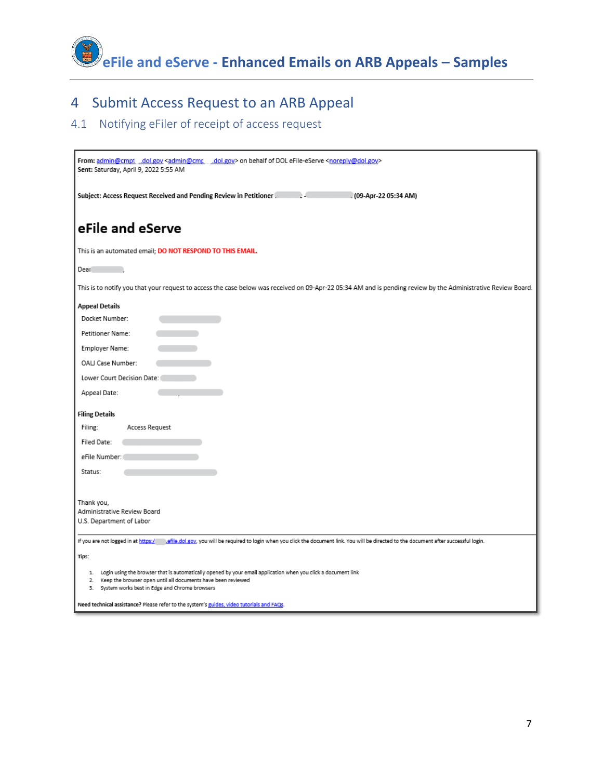

### 4 Submit Access Request to an ARB Appeal

### 4.1 Notifying eFiler of receipt of access request

| From: admin@cmpt dol.gov <admin@cmc .dol.gov=""> on behalf of DOL eFile-eServe <noreply@dol.gov><br/>Sent: Saturday, April 9, 2022 5:55 AM</noreply@dol.gov></admin@cmc>                                                                      |
|-----------------------------------------------------------------------------------------------------------------------------------------------------------------------------------------------------------------------------------------------|
| Subject: Access Request Received and Pending Review in Petitioner.<br>(09-Apr-22 05:34 AM)                                                                                                                                                    |
| eFile and eServe                                                                                                                                                                                                                              |
| This is an automated email; DO NOT RESPOND TO THIS EMAIL.                                                                                                                                                                                     |
| Dear                                                                                                                                                                                                                                          |
| This is to notify you that your request to access the case below was received on 09-Apr-22 05:34 AM and is pending review by the Administrative Review Board.                                                                                 |
| <b>Appeal Details</b>                                                                                                                                                                                                                         |
| Docket Number:                                                                                                                                                                                                                                |
| Petitioner Name:                                                                                                                                                                                                                              |
| Employer Name:                                                                                                                                                                                                                                |
| OALJ Case Number:                                                                                                                                                                                                                             |
| Lower Court Decision Date:                                                                                                                                                                                                                    |
| Appeal Date:                                                                                                                                                                                                                                  |
| <b>Filing Details</b>                                                                                                                                                                                                                         |
| Filing:<br>Access Request                                                                                                                                                                                                                     |
| Filed Date:                                                                                                                                                                                                                                   |
| eFile Number:                                                                                                                                                                                                                                 |
| Status:                                                                                                                                                                                                                                       |
|                                                                                                                                                                                                                                               |
| Thank you,                                                                                                                                                                                                                                    |
| Administrative Review Board<br>U.S. Department of Labor                                                                                                                                                                                       |
|                                                                                                                                                                                                                                               |
| If you are not logged in at https:/<br>efile.dol.gov, you will be required to login when you click the document link. You will be directed to the document after successful login.                                                            |
| Tips:                                                                                                                                                                                                                                         |
| Login using the browser that is automatically opened by your email application when you click a document link<br>1.<br>Keep the browser open until all documents have been reviewed<br>2.<br>3. System works best in Edge and Chrome browsers |
| Need technical assistance? Please refer to the system's guides, video tutorials and FAQs.                                                                                                                                                     |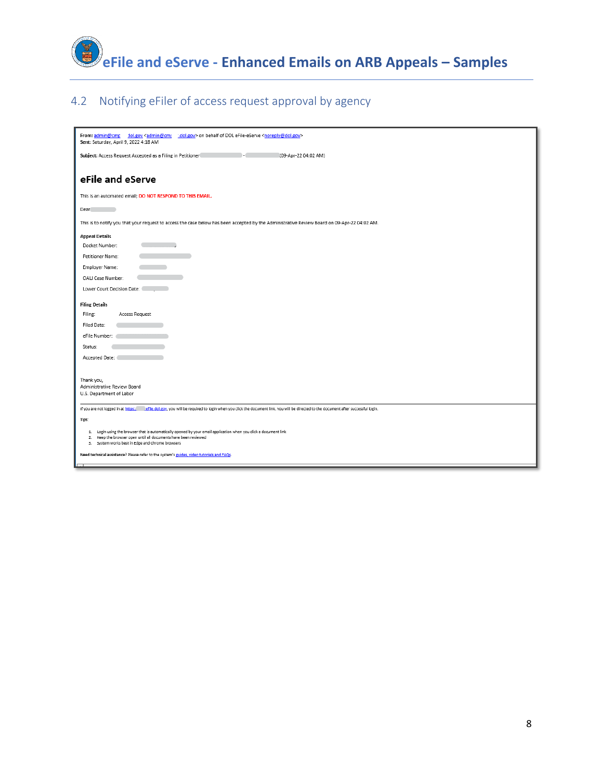

### 4.2 Notifying eFiler of access request approval by agency

| From: admin@cmg _ dol.gov <admin@cmg _="" dol.gov=""> on behalf of DOL eFile-eServe <noreply@dol.gov><br/>Sent: Saturday, April 9, 2022 4:18 AM</noreply@dol.gov></admin@cmg>       |
|-------------------------------------------------------------------------------------------------------------------------------------------------------------------------------------|
| Subject: Access Request Accepted as a Filing in Petitioner<br>(09-Apr-22 04:02 AM)                                                                                                  |
| eFile and eServe                                                                                                                                                                    |
| This is an automated email; DO NOT RESPOND TO THIS EMAIL.                                                                                                                           |
| Dear                                                                                                                                                                                |
| This is to notify you that your request to access the case below has been accepted by the Administrative Review Board on 09-Apr-22 04:02 AM.                                        |
| <b>Appeal Details</b>                                                                                                                                                               |
| Docket Number:                                                                                                                                                                      |
| Petitioner Name:                                                                                                                                                                    |
| Employer Name:                                                                                                                                                                      |
| OALJ Case Number:                                                                                                                                                                   |
| Lower Court Decision Date:                                                                                                                                                          |
| <b>Filing Details</b>                                                                                                                                                               |
| Filing:<br>Access Request                                                                                                                                                           |
| Filed Date:                                                                                                                                                                         |
| eFile Number:                                                                                                                                                                       |
| Status:                                                                                                                                                                             |
| Accepted Date:                                                                                                                                                                      |
|                                                                                                                                                                                     |
| Thank you,                                                                                                                                                                          |
| Administrative Review Board<br>U.S. Department of Labor                                                                                                                             |
|                                                                                                                                                                                     |
| If you are not logged in at https: efile.dol.gov, you will be required to login when you click the document link. You will be directed to the document after successful login.      |
| Tips:                                                                                                                                                                               |
| 1. Login using the browser that is automatically opened by your email application when you click a document link<br>2. Keep the browser open until all documents have been reviewed |
| 3. System works best in Edge and Chrome browsers                                                                                                                                    |
| Need technical assistance? Please refer to the system's guides, video tutorials and FAQs.                                                                                           |
|                                                                                                                                                                                     |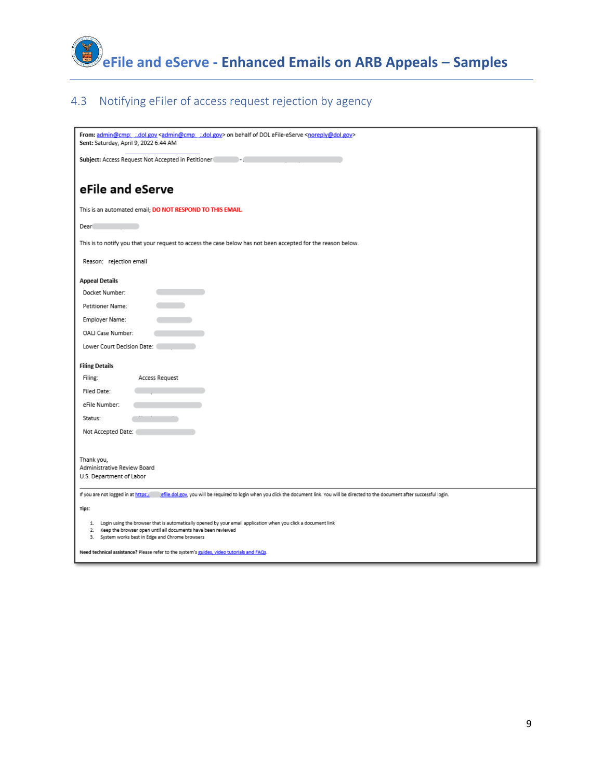

### 4.3 Notifying eFiler of access request rejection by agency

| From: admin@cmpt dol.gov <admin@cmpt dol.gov=""> on behalf of DOL eFile-eServe <noreply@dol.gov><br/>Sent: Saturday, April 9, 2022 6:44 AM</noreply@dol.gov></admin@cmpt>                                                                  |
|--------------------------------------------------------------------------------------------------------------------------------------------------------------------------------------------------------------------------------------------|
| Subject: Access Request Not Accepted in Petitioner                                                                                                                                                                                         |
| eFile and eServe                                                                                                                                                                                                                           |
| This is an automated email; DO NOT RESPOND TO THIS EMAIL.                                                                                                                                                                                  |
| Dearl                                                                                                                                                                                                                                      |
| This is to notify you that your request to access the case below has not been accepted for the reason below.                                                                                                                               |
| Reason: rejection email                                                                                                                                                                                                                    |
| <b>Appeal Details</b>                                                                                                                                                                                                                      |
| Docket Number:                                                                                                                                                                                                                             |
| Petitioner Name:                                                                                                                                                                                                                           |
| Employer Name:                                                                                                                                                                                                                             |
| OALJ Case Number:                                                                                                                                                                                                                          |
| Lower Court Decision Date:                                                                                                                                                                                                                 |
| <b>Filing Details</b>                                                                                                                                                                                                                      |
| Filing:<br>Access Request                                                                                                                                                                                                                  |
| Filed Date:                                                                                                                                                                                                                                |
| eFile Number:                                                                                                                                                                                                                              |
| Status:                                                                                                                                                                                                                                    |
| Not Accepted Date:                                                                                                                                                                                                                         |
|                                                                                                                                                                                                                                            |
| Thank you,                                                                                                                                                                                                                                 |
| Administrative Review Board<br>U.S. Department of Labor                                                                                                                                                                                    |
|                                                                                                                                                                                                                                            |
| If you are not logged in at https:/<br>efile.dol.gov, you will be required to login when you click the document link. You will be directed to the document after successful login.                                                         |
| Tips:                                                                                                                                                                                                                                      |
| 1. Login using the browser that is automatically opened by your email application when you click a document link<br>2. Keep the browser open until all documents have been reviewed<br>System works best in Edge and Chrome browsers<br>3. |
| Need technical assistance? Please refer to the system's guides, video tutorials and FAQs.                                                                                                                                                  |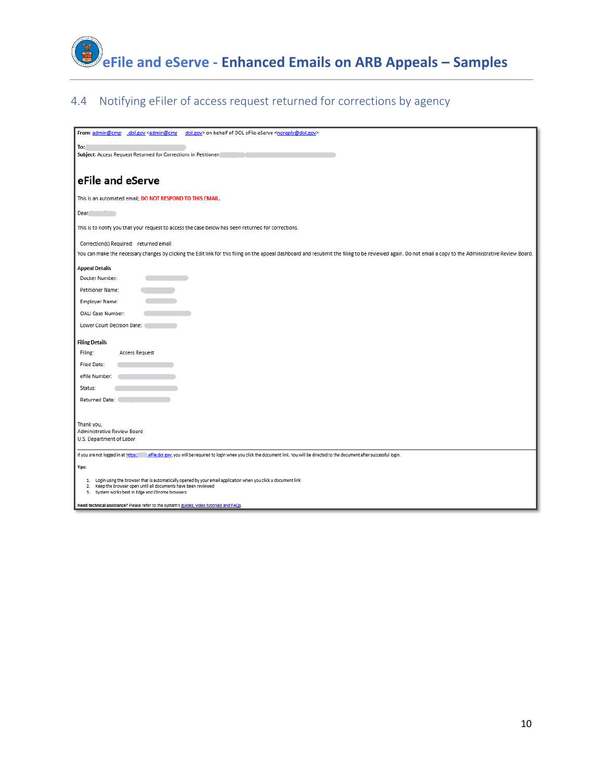

### 4.4 Notifying eFiler of access request returned for corrections by agency

| From: admin@cmp<br>dol.gov <admin@cmr<br>dol.gov&gt; on behalf of DOL eFile-eServe <noreply@dol.gov></noreply@dol.gov></admin@cmr<br>                                                                      |
|------------------------------------------------------------------------------------------------------------------------------------------------------------------------------------------------------------|
|                                                                                                                                                                                                            |
| To:                                                                                                                                                                                                        |
| Subject: Access Request Returned for Corrections in Petitioner                                                                                                                                             |
|                                                                                                                                                                                                            |
| eFile and eServe                                                                                                                                                                                           |
| This is an automated email; DO NOT RESPOND TO THIS EMAIL.                                                                                                                                                  |
| Dear                                                                                                                                                                                                       |
| This is to notify you that your request to access the case below has been returned for corrections.                                                                                                        |
| Correction(s) Required: returned email                                                                                                                                                                     |
| You can make the necessary changes by clicking the Edit link for this filing on the appeal dashboard and resubmit the filing to be reviewed again. Do not email a copy to the Administrative Review Board. |
| <b>Appeal Details</b>                                                                                                                                                                                      |
| Docket Number:                                                                                                                                                                                             |
| Petitioner Name:                                                                                                                                                                                           |
| Employer Name:                                                                                                                                                                                             |
| OALI Case Number:                                                                                                                                                                                          |
| Lower Court Decision Date: (                                                                                                                                                                               |
| <b>Filing Details</b>                                                                                                                                                                                      |
| Filing:<br>Access Request                                                                                                                                                                                  |
| <b>Filed Date:</b>                                                                                                                                                                                         |
| eFile Number:                                                                                                                                                                                              |
| Status:                                                                                                                                                                                                    |
| Returned Date:                                                                                                                                                                                             |
|                                                                                                                                                                                                            |
| Thank you,                                                                                                                                                                                                 |
| Administrative Review Board                                                                                                                                                                                |
| U.S. Department of Labor                                                                                                                                                                                   |
| If you are not logged in at https:<br>.efile.dol.gov, you will be required to login when you click the document link. You will be directed to the document after successful login.                         |
| Tips:                                                                                                                                                                                                      |
| 1. Login using the browser that is automatically opened by your email application when you click a document link                                                                                           |
| 2. Keep the browser open until all documents have been reviewed<br>3. System works best in Edge and Chrome browsers                                                                                        |
| Need technical assistance? Please refer to the system's guides, video tutorials and FAQs.                                                                                                                  |
|                                                                                                                                                                                                            |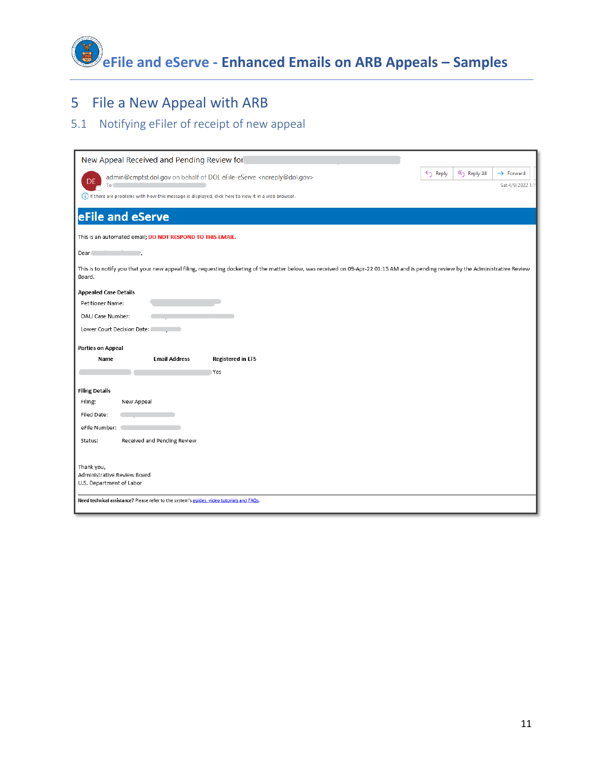**eFile and eServe - Enhanced Emails on ARB Appeals – Samples**

## 5 File a New Appeal with ARB

### 5.1 Notifying eFiler of receipt of new appeal

| New Appeal Received and Pending Review for                                                                                                                                                   |                    |           |                       |
|----------------------------------------------------------------------------------------------------------------------------------------------------------------------------------------------|--------------------|-----------|-----------------------|
| admin@cmptst.dol.gov on behalf of DOL eFile-eServe <noreply@dol.gov><br/>DE</noreply@dol.gov>                                                                                                | $\leftarrow$ Reply | Reply All | $\rightarrow$ Forward |
| To                                                                                                                                                                                           |                    |           | Sat 4/9/2022 1:19     |
| (i) If there are problems with how this message is displayed, click here to view it in a web browser.                                                                                        |                    |           |                       |
| eFile and eServe                                                                                                                                                                             |                    |           |                       |
| This is an automated email; DO NOT RESPOND TO THIS EMAIL.                                                                                                                                    |                    |           |                       |
| Dear <sup>*</sup><br>- 11                                                                                                                                                                    |                    |           |                       |
| This is to notify you that your new appeal filing, requesting docketing of the matter below, was received on 09-Apr-22 01:15 AM and is pending review by the Administrative Review<br>Board. |                    |           |                       |
| <b>Appealed Case Details</b>                                                                                                                                                                 |                    |           |                       |
| Petitioner Name:                                                                                                                                                                             |                    |           |                       |
| OALJ Case Number:                                                                                                                                                                            |                    |           |                       |
| Lower Court Decision Date:                                                                                                                                                                   |                    |           |                       |
| <b>Parties on Appeal</b>                                                                                                                                                                     |                    |           |                       |
| <b>Email Address</b><br><b>Registered in EFS</b><br>Name                                                                                                                                     |                    |           |                       |
| Yes                                                                                                                                                                                          |                    |           |                       |
| <b>Filing Details</b>                                                                                                                                                                        |                    |           |                       |
| Filing:<br>New Appeal                                                                                                                                                                        |                    |           |                       |
| Filed Date:                                                                                                                                                                                  |                    |           |                       |
| eFile Number:                                                                                                                                                                                |                    |           |                       |
| Received and Pending Review<br>Status:                                                                                                                                                       |                    |           |                       |
|                                                                                                                                                                                              |                    |           |                       |
| Thank you,                                                                                                                                                                                   |                    |           |                       |
| Administrative Review Board<br>U.S. Department of Labor                                                                                                                                      |                    |           |                       |
|                                                                                                                                                                                              |                    |           |                       |
| Need technical assistance? Please refer to the system's guides, video tutorials and FAQs.                                                                                                    |                    |           |                       |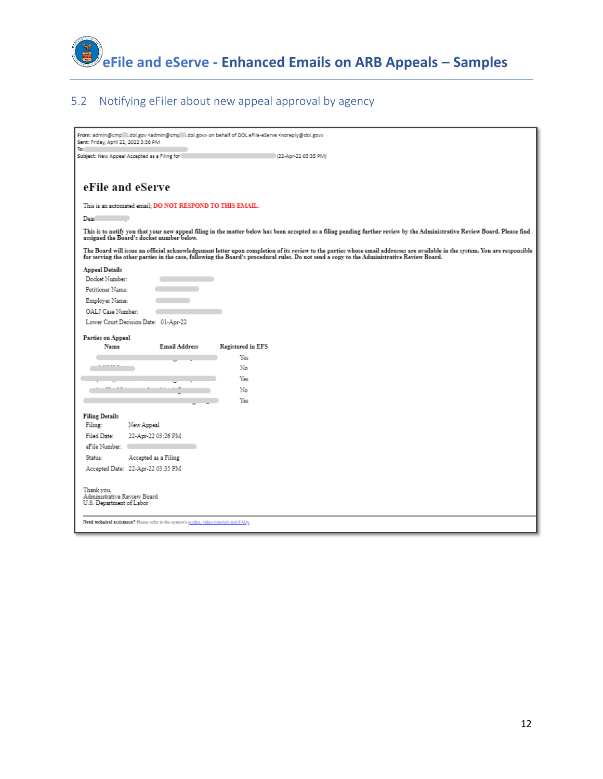

#### 5.2 Notifying eFiler about new appeal approval by agency

| From: admin@cmp li.dol.gov <admin@cmp li.dol.gov=""> on behalf of DOL eFile-eServe <noreply@dol.gov><br/>Sent: Friday, April 22, 2022 3:36 PM<br/>To:</noreply@dol.gov></admin@cmp>                                                                                                                                      |
|--------------------------------------------------------------------------------------------------------------------------------------------------------------------------------------------------------------------------------------------------------------------------------------------------------------------------|
| Subject: New Appeal Accepted as a Filing for<br>(22-Apr-22 03:35 PM)                                                                                                                                                                                                                                                     |
|                                                                                                                                                                                                                                                                                                                          |
| eFile and eServe                                                                                                                                                                                                                                                                                                         |
| This is an automated email; DO NOT RESPOND TO THIS EMAIL.                                                                                                                                                                                                                                                                |
| Dear                                                                                                                                                                                                                                                                                                                     |
| This is to notify you that your new appeal filing in the matter below has been accepted as a filing pending further review by the Administrative Review Board. Please find<br>assigned the Board's docket number below.                                                                                                  |
| The Board will issue an official acknowledgement letter upon completion of its review to the parties whose email addresses are available in the system. You are responsible<br>for serving the other parties in the case, following the Board's procedural rules. Do not send a copy to the Administrative Review Board. |
| Appeal Details                                                                                                                                                                                                                                                                                                           |
| Docket Number:<br>Petitioner Name:                                                                                                                                                                                                                                                                                       |
| Employer Name:                                                                                                                                                                                                                                                                                                           |
| OALJ Case Number:                                                                                                                                                                                                                                                                                                        |
| Lower Court Decision Date: 01-Apr-22                                                                                                                                                                                                                                                                                     |
| Parties on Appeal                                                                                                                                                                                                                                                                                                        |
| Name<br><b>Email Address</b><br>Registered in EFS                                                                                                                                                                                                                                                                        |
| Yes                                                                                                                                                                                                                                                                                                                      |
| No                                                                                                                                                                                                                                                                                                                       |
| Yes,                                                                                                                                                                                                                                                                                                                     |
| No                                                                                                                                                                                                                                                                                                                       |
| Yes                                                                                                                                                                                                                                                                                                                      |
| <b>Filing Details</b>                                                                                                                                                                                                                                                                                                    |
| Filing:<br>New Appeal                                                                                                                                                                                                                                                                                                    |
| 22-Apr-22 03:26 PM<br>Filed Date:                                                                                                                                                                                                                                                                                        |
| eFile Number:                                                                                                                                                                                                                                                                                                            |
| Accepted as a Filing<br>Status:                                                                                                                                                                                                                                                                                          |
| Accepted Date: 22-Apr-22 03:35 PM                                                                                                                                                                                                                                                                                        |
| Thank vou.<br>Administrative Review Board<br>U.S. Department of Labor<br>Need technical assistance? Please refer to the system's guides, video tutorials and FAQs.                                                                                                                                                       |
|                                                                                                                                                                                                                                                                                                                          |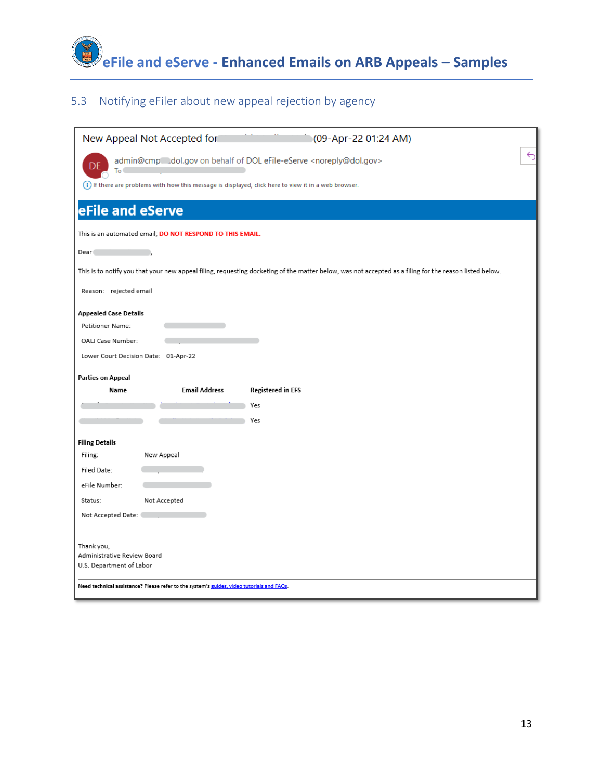

#### 5.3 Notifying eFiler about new appeal rejection by agency

| New Appeal Not Accepted for<br>(09-Apr-22 01:24 AM)                                                                                                    |
|--------------------------------------------------------------------------------------------------------------------------------------------------------|
| ⇆<br>admin@cmp dol.gov on behalf of DOL eFile-eServe <noreply@dol.gov><br/>To</noreply@dol.gov>                                                        |
| (i) If there are problems with how this message is displayed, click here to view it in a web browser.                                                  |
| eFile and eServe                                                                                                                                       |
| This is an automated email; DO NOT RESPOND TO THIS EMAIL.                                                                                              |
| Dear <sup>1</sup>                                                                                                                                      |
| This is to notify you that your new appeal filing, requesting docketing of the matter below, was not accepted as a filing for the reason listed below. |
| Reason: rejected email                                                                                                                                 |
| <b>Appealed Case Details</b>                                                                                                                           |
| Petitioner Name:                                                                                                                                       |
| OALJ Case Number:                                                                                                                                      |
| Lower Court Decision Date: 01-Apr-22                                                                                                                   |
| <b>Parties on Appeal</b>                                                                                                                               |
| <b>Email Address</b><br><b>Registered in EFS</b><br>Name                                                                                               |
| Yes                                                                                                                                                    |
| Yes                                                                                                                                                    |
| <b>Filing Details</b>                                                                                                                                  |
| Filing:<br>New Appeal                                                                                                                                  |
| Filed Date:                                                                                                                                            |
| eFile Number:                                                                                                                                          |
| Status:<br>Not Accepted                                                                                                                                |
| Not Accepted Date:                                                                                                                                     |
|                                                                                                                                                        |
| Thank you,<br>Administrative Review Board<br>U.S. Department of Labor                                                                                  |
| Need technical assistance? Please refer to the system's guides, video tutorials and FAQs.                                                              |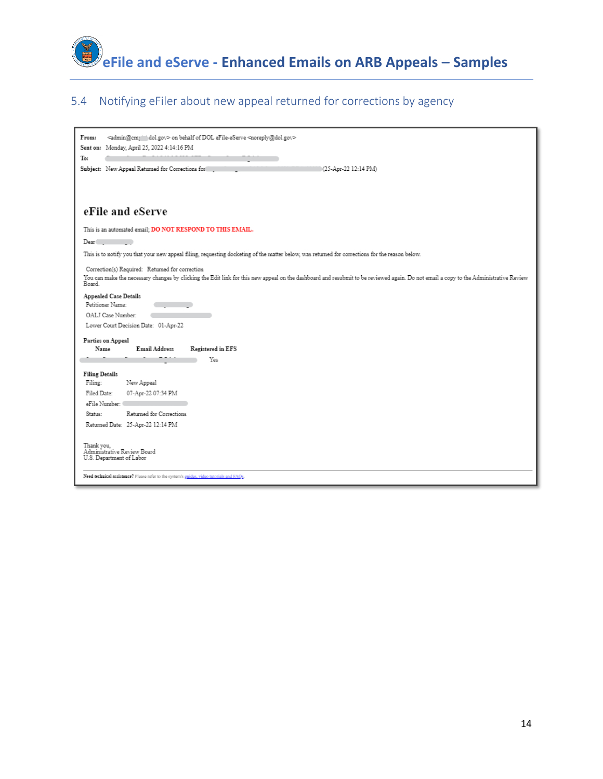

#### 5.4 Notifying eFiler about new appeal returned for corrections by agency

| <admin@cmj =="" dol.gov=""> on behalf of DOL eFile-eServe <noreply@dol.gov><br/>From:<br/>Sent on: Monday, April 25, 2022 4:14:16 PM<br/>To:<br/>(25-Apr-22 12:14 PM)<br/>Subject: New Appeal Returned for Corrections for</noreply@dol.gov></admin@cmj> |
|----------------------------------------------------------------------------------------------------------------------------------------------------------------------------------------------------------------------------------------------------------|
| eFile and eServe                                                                                                                                                                                                                                         |
| This is an automated email; DO NOT RESPOND TO THIS EMAIL.                                                                                                                                                                                                |
| Dear                                                                                                                                                                                                                                                     |
| This is to notify you that your new appeal filing, requesting docketing of the matter below, was returned for corrections for the reason below.                                                                                                          |
| Correction(s) Required: Returned for correction<br>You can make the necessary changes by clicking the Edit link for this new appeal on the dashboard and resubmit to be reviewed again. Do not email a copy to the Administrative Review<br>Board.       |
| Appealed Case Details<br>Petitioner Name:<br>OALJ Case Number:                                                                                                                                                                                           |
| Lower Court Decision Date: 01-Apr-22                                                                                                                                                                                                                     |
| Parties on Appeal                                                                                                                                                                                                                                        |
| Registered in EFS<br>Name<br>Email Address                                                                                                                                                                                                               |
| Yes                                                                                                                                                                                                                                                      |
| <b>Filing Details</b>                                                                                                                                                                                                                                    |
| Filing:<br>New Appeal                                                                                                                                                                                                                                    |
| Filed Date:<br>07-Apr-22 07:34 PM                                                                                                                                                                                                                        |
| eFile Number:                                                                                                                                                                                                                                            |
| Status:<br>Returned for Corrections                                                                                                                                                                                                                      |
| Returned Date: 25-Apr-22 12:14 PM                                                                                                                                                                                                                        |
| Thank you.<br>Administrative Review Board<br>U.S. Department of Labor<br>Need technical assistance? Please refer to the system's guides, video tutorials and FAQs.                                                                                       |
|                                                                                                                                                                                                                                                          |